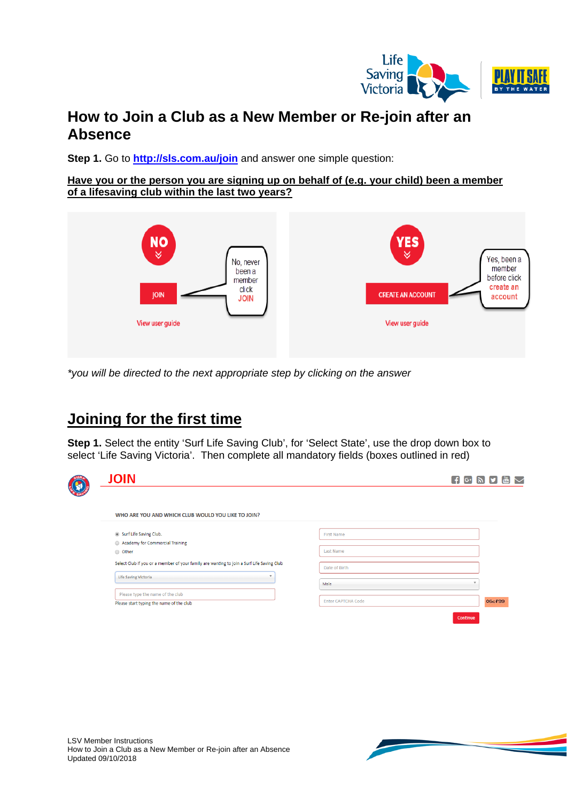

# **How to Join a Club as a New Member or Re-join after an Absence**

**Step 1.** Go to **<http://sls.com.au/join>** and answer one simple question:

**Have you or the person you are signing up on behalf of (e.g. your child) been a member of a lifesaving club within the last two years?**



*\*you will be directed to the next appropriate step by clicking on the answer*

# **Joining for the first time**

**Step 1.** Select the entity 'Surf Life Saving Club', for 'Select State', use the drop down box to select 'Life Saving Victoria'.Then complete all mandatory fields (boxes outlined in red)

| <b>JOIN</b>                                                                               |                           | $\bigoplus$ $G$ $\bigoplus$ $\bigoplus$ |        | $\frac{100}{1000}$ |
|-------------------------------------------------------------------------------------------|---------------------------|-----------------------------------------|--------|--------------------|
| WHO ARE YOU AND WHICH CLUB WOULD YOU LIKE TO JOIN?                                        |                           |                                         |        |                    |
| Surf Life Saving Club.                                                                    | <b>First Name</b>         |                                         |        |                    |
| Academy for Commercial Training                                                           |                           |                                         |        |                    |
| O Other                                                                                   | <b>Last Name</b>          |                                         |        |                    |
| Select Club if you or a member of your family are wanting to join a Surf Life Saving Club | Date of Birth             |                                         |        |                    |
| Life Saving Victoria                                                                      | $\mathbf{v}$              |                                         |        |                    |
|                                                                                           | Male                      |                                         |        |                    |
| Please type the name of the club                                                          |                           |                                         |        |                    |
| Please start typing the name of the club                                                  | <b>Enter CAPTCHA Code</b> |                                         | 06cf99 |                    |

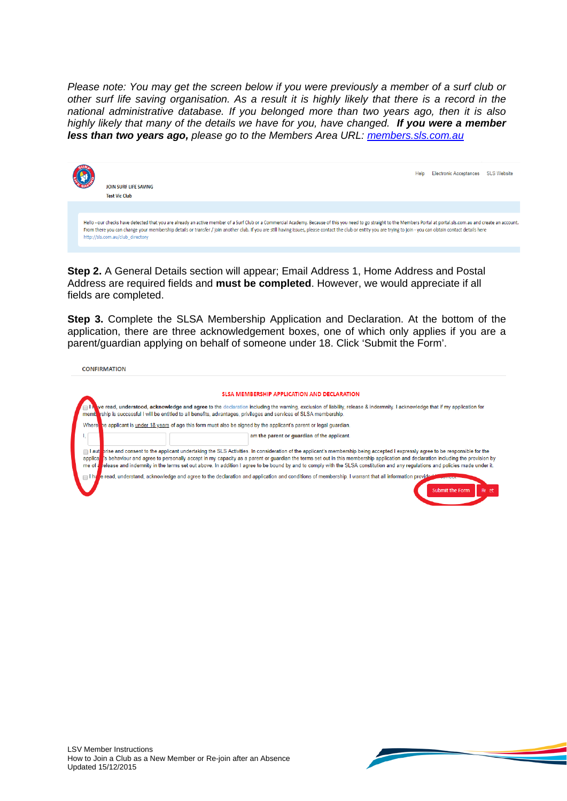*Please note: You may get the screen below if you were previously a member of a surf club or other surf life saving organisation. As a result it is highly likely that there is a record in the national administrative database. If you belonged more than two years ago, then it is also highly likely that many of the details we have for you, have changed. If you were a member less than two years ago, please go to the Members Area URL: [members.sls.com.au](https://members.sls.com.au/SLSA_Online/modules/login/index.php)*



**Step 2.** A General Details section will appear; Email Address 1, Home Address and Postal Address are required fields and **must be completed**. However, we would appreciate if all fields are completed.

**Step 3.** Complete the SLSA Membership Application and Declaration. At the bottom of the application, there are three acknowledgement boxes, one of which only applies if you are a parent/guardian applying on behalf of someone under 18. Click 'Submit the Form'.

| <b>CONFIRMATION</b> |                                                                                                                                                                                                                                                                                                                                                                                                                                                                                                                                                                |
|---------------------|----------------------------------------------------------------------------------------------------------------------------------------------------------------------------------------------------------------------------------------------------------------------------------------------------------------------------------------------------------------------------------------------------------------------------------------------------------------------------------------------------------------------------------------------------------------|
|                     |                                                                                                                                                                                                                                                                                                                                                                                                                                                                                                                                                                |
|                     | SLSA MEMBERSHIP APPLICATION AND DECLARATION                                                                                                                                                                                                                                                                                                                                                                                                                                                                                                                    |
|                     | ve read, understood, acknowledge and agree to the declaration including the warning, exclusion of liability, release & indermnity. I acknowledge that if my application for<br>membration is successful I will be entitled to all benefits, advantages, privileges and services of SLSA membership.                                                                                                                                                                                                                                                            |
|                     | Where he applicant is under 18 years of age this form must also be signed by the applicant's parent or legal quardian.                                                                                                                                                                                                                                                                                                                                                                                                                                         |
|                     | am the parent or quardian of the applicant.                                                                                                                                                                                                                                                                                                                                                                                                                                                                                                                    |
| me of a             | I aut prise and consent to the applicant undertaking the SLS Activities. In consideration of the applicant's membership being accepted I expressly agree to be responsible for the<br>applical is behaviour and agree to personally accept in my capacity as a parent or guardian the terms set out in this membership application and declaration including the provision by<br>release and indemnity in the terms set out above. In addition I agree to be bound by and to comply with the SLSA constitution and any regulations and policies made under it. |
|                     | e read, understand, acknowledge and agree to the declaration and application and conditions of membership. I warrant that all information provided<br><b><i><u>PARKERS OF BRIDER</u></i></b><br><b>Submit the Form</b><br>Re et                                                                                                                                                                                                                                                                                                                                |

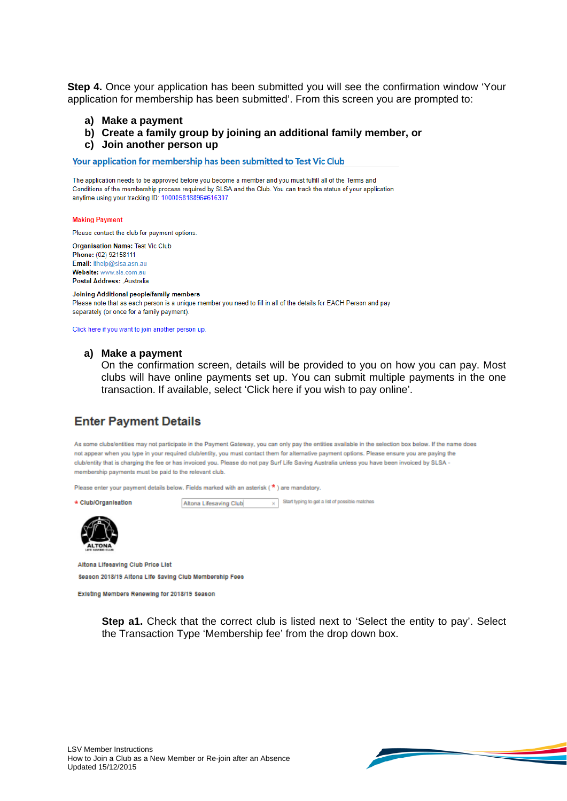**Step 4.** Once your application has been submitted you will see the confirmation window 'Your application for membership has been submitted'. From this screen you are prompted to:

- **a) Make a payment**
- **b) Create a family group by joining an additional family member, or**
- **c) Join another person up**

Your application for membership has been submitted to Test Vic Club

The application needs to be approved before you become a member and you must fulfill all of the Terms and Conditions of the membership process required by SLSA and the Club. You can track the status of your application anytime using your tracking ID: 100005818896#616307.

#### **Making Payment**

Please contact the club for payment options.

**Organisation Name: Test Vic Club** Phone: (02) 92158111 Email: ithelp@slsa.asn.au Website: www.sls.com.au Postal Address: , Australia

Joining Additional people/family members Please note that as each person is a unique member you need to fill in all of the details for EACH Person and pay separately (or once for a family payment).

Click here if you want to join another person up

### **a) Make a payment**

On the confirmation screen, details will be provided to you on how you can pay. Most clubs will have online payments set up. You can submit multiple payments in the one transaction. If available, select 'Click here if you wish to pay online'.

 $\overline{\times}$  Start typing to get a list of possible matches

### **Enter Payment Details**

As some clubs/entities may not participate in the Payment Gateway, you can only pay the entities available in the selection box below. If the name does not appear when you type in your required club/entity, you must contact them for alternative payment options. Please ensure you are paying the club/entity that is charging the fee or has invoiced you. Please do not pay Surf Life Saving Australia unless you have been invoiced by SLSA membership payments must be paid to the relevant club.

Please enter your payment details below. Fields marked with an asterisk (\*) are mandatory.

Altona Lifesaving Club



Altona Lifesaving Club Price List Season 2018/19 Altona Life Saving Club Membership Fees

Existing Members Renewing for 2018/19 Season

**Step a1.** Check that the correct club is listed next to 'Select the entity to pay'. Select the Transaction Type 'Membership fee' from the drop down box.

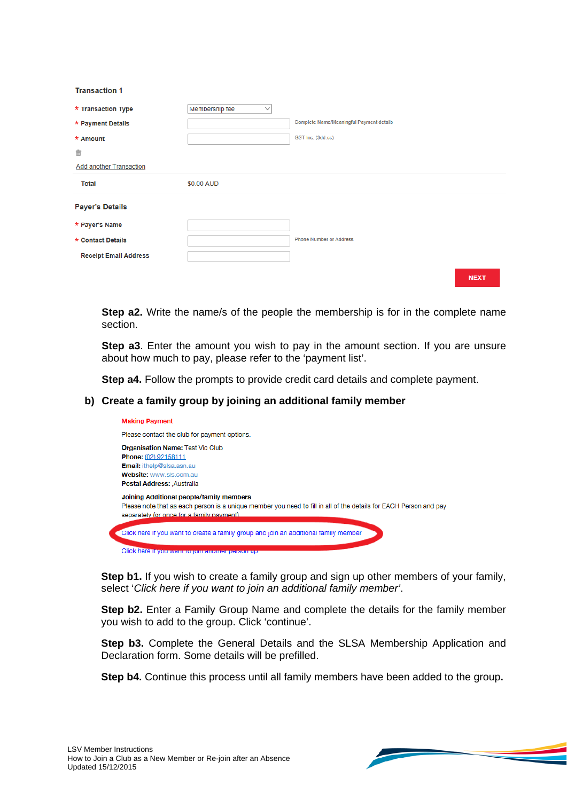**Transaction 1** 

| * Transaction Type             | Membership fee<br>$\checkmark$ |                                          |
|--------------------------------|--------------------------------|------------------------------------------|
| * Payment Details              |                                | Complete Name/Meaningful Payment details |
| * Amount                       |                                | GST Inc. (\$dd.cc)                       |
| 亩                              |                                |                                          |
| <b>Add another Transaction</b> |                                |                                          |
| <b>Total</b>                   | \$0.00 AUD                     |                                          |
| <b>Payer's Details</b>         |                                |                                          |
| * Payer's Name                 |                                |                                          |
| * Contact Details              |                                | <b>Phone Number or Address</b>           |
|                                |                                |                                          |
| <b>Receipt Email Address</b>   |                                |                                          |

**Step a2.** Write the name/s of the people the membership is for in the complete name section.

**Step a3**. Enter the amount you wish to pay in the amount section. If you are unsure about how much to pay, please refer to the 'payment list'.

**Step a4.** Follow the prompts to provide credit card details and complete payment.

### **b) Create a family group by joining an additional family member**



**Step b1.** If you wish to create a family group and sign up other members of your family, select '*Click here if you want to join an additional family member'*.

**Step b2.** Enter a Family Group Name and complete the details for the family member you wish to add to the group. Click 'continue'.

**Step b3.** Complete the General Details and the SLSA Membership Application and Declaration form. Some details will be prefilled.

**Step b4.** Continue this process until all family members have been added to the group**.**

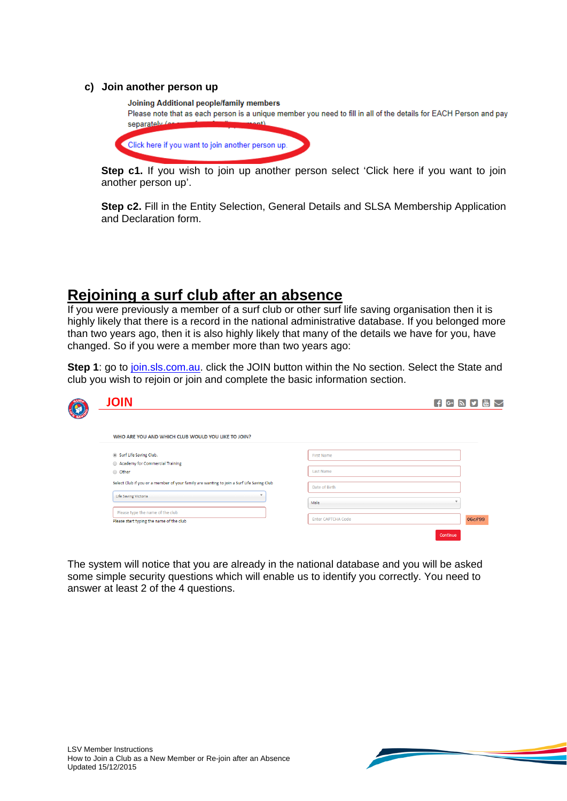### **c) Join another person up**



**Step c1.** If you wish to join up another person select 'Click here if you want to join another person up'.

**Step c2.** Fill in the Entity Selection, General Details and SLSA Membership Application and Declaration form.

## **Rejoining a surf club after an absence**

If you were previously a member of a surf club or other surf life saving organisation then it is highly likely that there is a record in the national administrative database. If you belonged more than two years ago, then it is also highly likely that many of the details we have for you, have changed. So if you were a member more than two years ago:

**Step 1**: go to *join.sls.com.au.* click the JOIN button within the No section. Select the State and club you wish to rejoin or join and complete the basic information section.

| <b>JOIN</b>                                                                               |                           | $\sim$<br>$\left[\begin{array}{ccc} \mathbf{f} & \mathbf{G} \end{array}\right]$ $\mathbf{S}$ $\left[\begin{array}{ccc} \mathbf{y} & \mathbf{y} \end{array}\right]$ |
|-------------------------------------------------------------------------------------------|---------------------------|--------------------------------------------------------------------------------------------------------------------------------------------------------------------|
| WHO ARE YOU AND WHICH CLUB WOULD YOU LIKE TO JOIN?                                        |                           |                                                                                                                                                                    |
| Surf Life Saving Club.<br>Academy for Commercial Training                                 | First Name                |                                                                                                                                                                    |
| O Other                                                                                   | Last Name                 |                                                                                                                                                                    |
| Select Club if you or a member of your family are wanting to join a Surf Life Saving Club | Date of Birth             |                                                                                                                                                                    |
| $\mathbf{v}$<br>Life Saving Victoria                                                      | Male                      |                                                                                                                                                                    |
| Please type the name of the club<br>Please start typing the name of the club              | <b>Enter CAPTCHA Code</b> | 06cf99                                                                                                                                                             |
|                                                                                           |                           | Continue                                                                                                                                                           |

The system will notice that you are already in the national database and you will be asked some simple security questions which will enable us to identify you correctly. You need to answer at least 2 of the 4 questions.